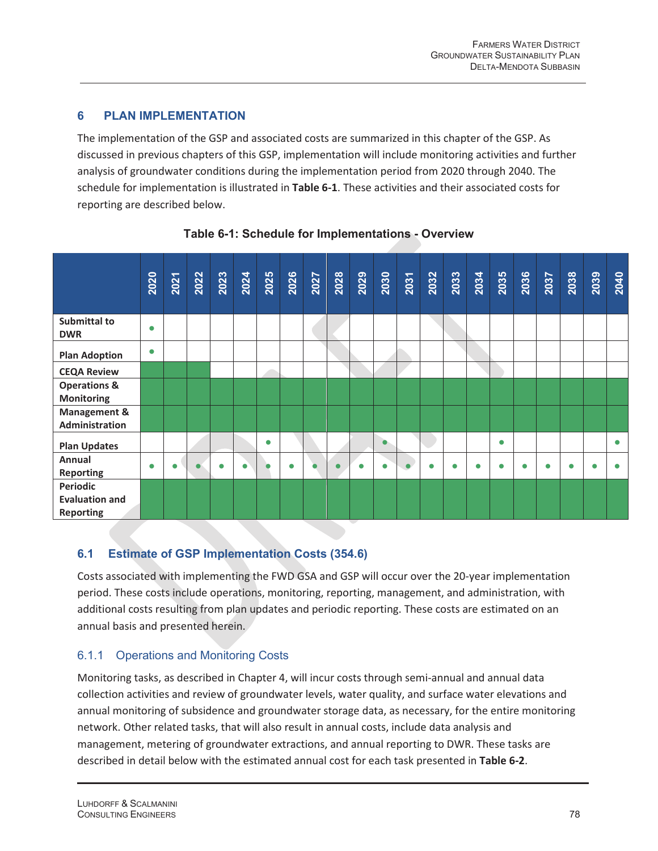# **6 PLAN IMPLEMENTATION**

The implementation of the GSP and associated costs are summarized in this chapter of the GSP. As discussed in previous chapters of this GSP, implementation will include monitoring activities and further analysis of groundwater conditions during the implementation period from 2020 through 2040. The schedule for implementation is illustrated in **Table 6-1**. These activities and their associated costs for reporting are described below.



**Table 6-1: Schedule for Implementations - Overview** 

# **6.1 Estimate of GSP Implementation Costs (354.6)**

Costs associated with implementing the FWD GSA and GSP will occur over the 20-year implementation period. These costs include operations, monitoring, reporting, management, and administration, with additional costs resulting from plan updates and periodic reporting. These costs are estimated on an annual basis and presented herein.

# 6.1.1 Operations and Monitoring Costs

Monitoring tasks, as described in Chapter 4, will incur costs through semi-annual and annual data collection activities and review of groundwater levels, water quality, and surface water elevations and annual monitoring of subsidence and groundwater storage data, as necessary, for the entire monitoring network. Other related tasks, that will also result in annual costs, include data analysis and management, metering of groundwater extractions, and annual reporting to DWR. These tasks are described in detail below with the estimated annual cost for each task presented in **Table 6-2**.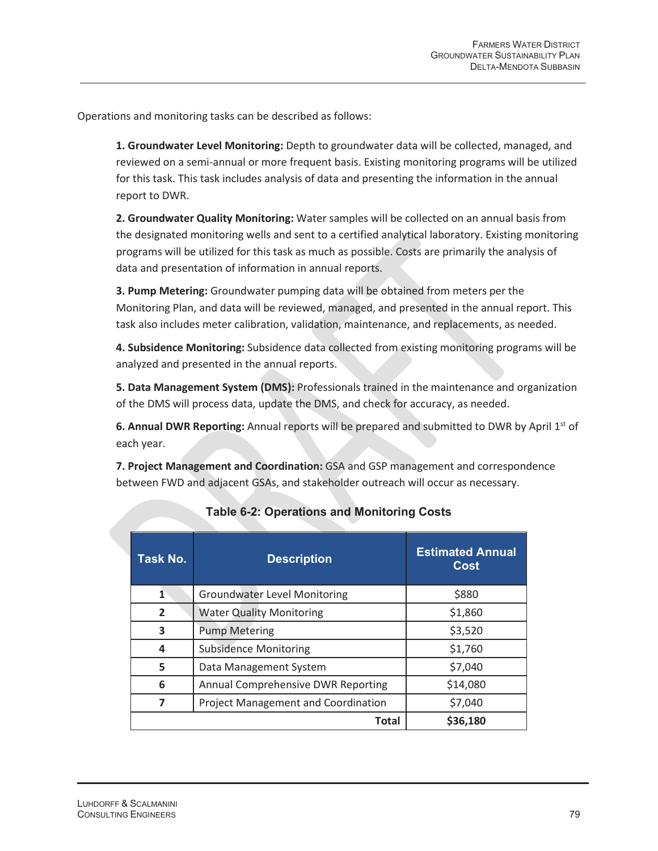Operations and monitoring tasks can be described as follows:

**1. Groundwater Level Monitoring:** Depth to groundwater data will be collected, managed, and reviewed on a semi-annual or more frequent basis. Existing monitoring programs will be utilized for this task. This task includes analysis of data and presenting the information in the annual report to DWR.

**2. Groundwater Quality Monitoring:** Water samples will be collected on an annual basis from the designated monitoring wells and sent to a certified analytical laboratory. Existing monitoring programs will be utilized for this task as much as possible. Costs are primarily the analysis of data and presentation of information in annual reports.

**3. Pump Metering:** Groundwater pumping data will be obtained from meters per the Monitoring Plan, and data will be reviewed, managed, and presented in the annual report. This task also includes meter calibration, validation, maintenance, and replacements, as needed.

**4. Subsidence Monitoring:** Subsidence data collected from existing monitoring programs will be analyzed and presented in the annual reports.

**5. Data Management System (DMS):** Professionals trained in the maintenance and organization of the DMS will process data, update the DMS, and check for accuracy, as needed.

**6. Annual DWR Reporting:** Annual reports will be prepared and submitted to DWR by April 1st of each year.

**7. Project Management and Coordination:** GSA and GSP management and correspondence between FWD and adjacent GSAs, and stakeholder outreach will occur as necessary.

| Task No. | <b>Description</b>                  | <b>Estimated Annual</b><br><b>Cost</b> |  |
|----------|-------------------------------------|----------------------------------------|--|
| 1        | <b>Groundwater Level Monitoring</b> | \$880                                  |  |
| 2        | <b>Water Quality Monitoring</b>     | \$1,860                                |  |
| 3        | <b>Pump Metering</b>                | \$3,520                                |  |
| 4        | <b>Subsidence Monitoring</b>        | \$1,760                                |  |
| 5        | Data Management System              | \$7,040                                |  |
| 6        | Annual Comprehensive DWR Reporting  | \$14,080                               |  |
| 7        | Project Management and Coordination | \$7,040                                |  |
|          | <b>Total</b>                        | \$36,180                               |  |

### **Table 6-2: Operations and Monitoring Costs**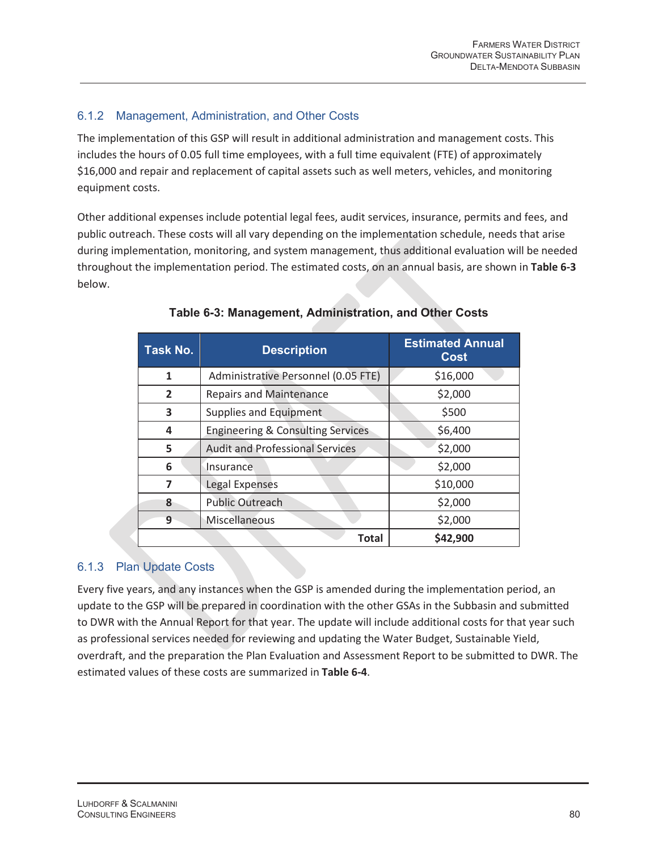## 6.1.2 Management, Administration, and Other Costs

The implementation of this GSP will result in additional administration and management costs. This includes the hours of 0.05 full time employees, with a full time equivalent (FTE) of approximately \$16,000 and repair and replacement of capital assets such as well meters, vehicles, and monitoring equipment costs.

Other additional expenses include potential legal fees, audit services, insurance, permits and fees, and public outreach. These costs will all vary depending on the implementation schedule, needs that arise during implementation, monitoring, and system management, thus additional evaluation will be needed throughout the implementation period. The estimated costs, on an annual basis, are shown in **Table 6-3** below.

| Task No.       | <b>Description</b>                           | <b>Estimated Annual</b><br><b>Cost</b> |  |  |
|----------------|----------------------------------------------|----------------------------------------|--|--|
| 1              | Administrative Personnel (0.05 FTE)          | \$16,000                               |  |  |
| $\overline{2}$ | <b>Repairs and Maintenance</b>               | \$2,000                                |  |  |
| 3              | Supplies and Equipment                       | \$500                                  |  |  |
| 4              | <b>Engineering &amp; Consulting Services</b> | \$6,400                                |  |  |
| 5              | <b>Audit and Professional Services</b>       | \$2,000                                |  |  |
| 6              | Insurance                                    | \$2,000                                |  |  |
| 7              | \$10,000<br>Legal Expenses                   |                                        |  |  |
| 8              | \$2,000<br><b>Public Outreach</b>            |                                        |  |  |
| 9              | Miscellaneous                                | \$2,000                                |  |  |
|                | Total                                        | \$42,900                               |  |  |

#### **Table 6-3: Management, Administration, and Other Costs**

#### 6.1.3 Plan Update Costs

Every five years, and any instances when the GSP is amended during the implementation period, an update to the GSP will be prepared in coordination with the other GSAs in the Subbasin and submitted to DWR with the Annual Report for that year. The update will include additional costs for that year such as professional services needed for reviewing and updating the Water Budget, Sustainable Yield, overdraft, and the preparation the Plan Evaluation and Assessment Report to be submitted to DWR. The estimated values of these costs are summarized in **Table 6-4**.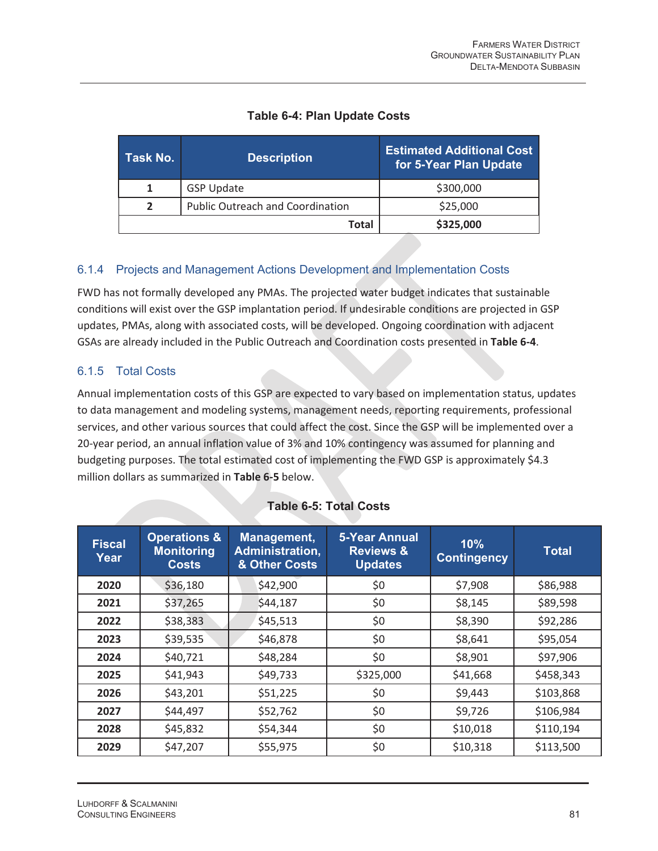# **Table 6-4: Plan Update Costs**

| Task No. | <b>Description</b>                      | <b>Estimated Additional Cost.</b><br>for 5-Year Plan Update |
|----------|-----------------------------------------|-------------------------------------------------------------|
|          | <b>GSP Update</b>                       | \$300,000                                                   |
|          | <b>Public Outreach and Coordination</b> | \$25,000                                                    |
|          | Total                                   | \$325,000                                                   |

## 6.1.4 Projects and Management Actions Development and Implementation Costs

FWD has not formally developed any PMAs. The projected water budget indicates that sustainable conditions will exist over the GSP implantation period. If undesirable conditions are projected in GSP updates, PMAs, along with associated costs, will be developed. Ongoing coordination with adjacent GSAs are already included in the Public Outreach and Coordination costs presented in **Table 6-4**.

### 6.1.5 Total Costs

Annual implementation costs of this GSP are expected to vary based on implementation status, updates to data management and modeling systems, management needs, reporting requirements, professional services, and other various sources that could affect the cost. Since the GSP will be implemented over a 20-year period, an annual inflation value of 3% and 10% contingency was assumed for planning and budgeting purposes. The total estimated cost of implementing the FWD GSP is approximately \$4.3 million dollars as summarized in **Table 6-5** below.

| <b>Fiscal</b><br>Year | <b>Operations &amp;</b><br><b>Monitoring</b><br><b>Costs</b> | Management,<br>Administration,<br>& Other Costs | <b>5-Year Annual</b><br><b>Reviews &amp;</b><br><b>Updates</b> | 10%<br><b>Contingency</b> | <b>Total</b> |
|-----------------------|--------------------------------------------------------------|-------------------------------------------------|----------------------------------------------------------------|---------------------------|--------------|
| 2020                  | \$36,180                                                     | \$42,900                                        | \$0                                                            | \$7,908                   | \$86,988     |
| 2021                  | \$37,265                                                     | \$44,187                                        | \$0                                                            | \$8,145                   | \$89,598     |
| 2022                  | \$38,383                                                     | \$45,513                                        | \$0                                                            | \$8,390                   | \$92,286     |
| 2023                  | \$39,535                                                     | \$46,878                                        | \$0                                                            | \$8,641                   | \$95,054     |
| 2024                  | \$40,721                                                     | \$48,284                                        | \$0                                                            | \$8,901                   | \$97,906     |
| 2025                  | \$41,943                                                     | \$49,733                                        | \$325,000                                                      | \$41,668                  | \$458,343    |
| 2026                  | \$43,201                                                     | \$51,225                                        | \$0                                                            | \$9,443                   | \$103,868    |
| 2027                  | \$44,497                                                     | \$52,762                                        | \$0                                                            | \$9,726                   | \$106,984    |
| 2028                  | \$45,832                                                     | \$54,344                                        | \$0                                                            | \$10,018                  | \$110,194    |
| 2029                  | \$47,207                                                     | \$55,975                                        | \$0                                                            | \$10,318                  | \$113,500    |

#### **Table 6-5: Total Costs**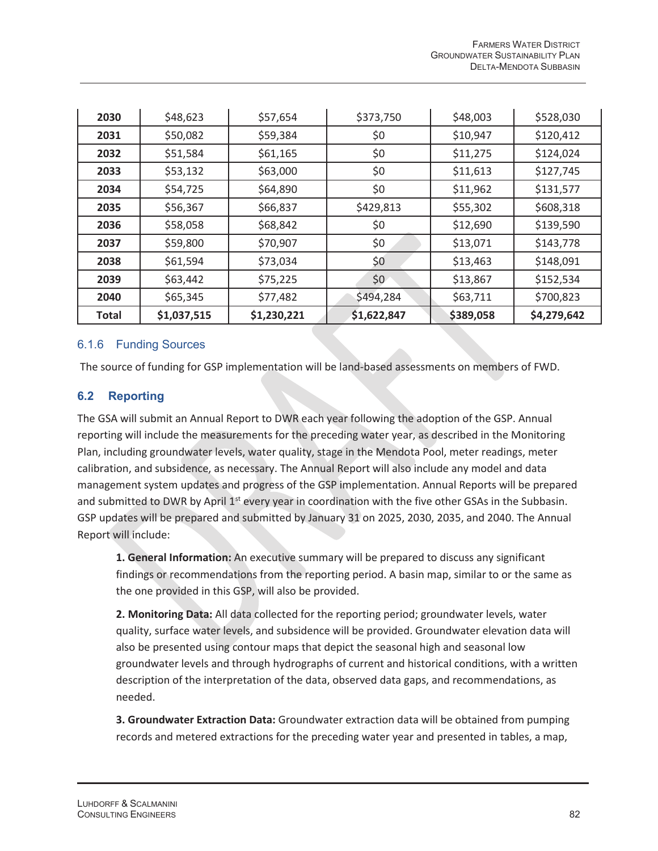| 2030         | \$48,623    | \$57,654    | \$373,750   | \$48,003  | \$528,030   |
|--------------|-------------|-------------|-------------|-----------|-------------|
| 2031         | \$50,082    | \$59,384    | \$0         | \$10,947  | \$120,412   |
| 2032         | \$51,584    | \$61,165    | \$0         | \$11,275  | \$124,024   |
| 2033         | \$53,132    | \$63,000    | \$0         | \$11,613  | \$127,745   |
| 2034         | \$54,725    | \$64,890    | \$0         | \$11,962  | \$131,577   |
| 2035         | \$56,367    | \$66,837    | \$429,813   | \$55,302  | \$608,318   |
| 2036         | \$58,058    | \$68,842    | \$0         | \$12,690  | \$139,590   |
| 2037         | \$59,800    | \$70,907    | \$0         | \$13,071  | \$143,778   |
| 2038         | \$61,594    | \$73,034    | \$0         | \$13,463  | \$148,091   |
| 2039         | \$63,442    | \$75,225    | \$0         | \$13,867  | \$152,534   |
| 2040         | \$65,345    | \$77,482    | \$494,284   | \$63,711  | \$700,823   |
| <b>Total</b> | \$1,037,515 | \$1,230,221 | \$1,622,847 | \$389,058 | \$4,279,642 |

### 6.1.6 Funding Sources

The source of funding for GSP implementation will be land-based assessments on members of FWD.

### **6.2 Reporting**

The GSA will submit an Annual Report to DWR each year following the adoption of the GSP. Annual reporting will include the measurements for the preceding water year, as described in the Monitoring Plan, including groundwater levels, water quality, stage in the Mendota Pool, meter readings, meter calibration, and subsidence, as necessary. The Annual Report will also include any model and data management system updates and progress of the GSP implementation. Annual Reports will be prepared and submitted to DWR by April 1<sup>st</sup> every year in coordination with the five other GSAs in the Subbasin. GSP updates will be prepared and submitted by January 31 on 2025, 2030, 2035, and 2040. The Annual Report will include:

**1. General Information:** An executive summary will be prepared to discuss any significant findings or recommendations from the reporting period. A basin map, similar to or the same as the one provided in this GSP, will also be provided.

**2. Monitoring Data:** All data collected for the reporting period; groundwater levels, water quality, surface water levels, and subsidence will be provided. Groundwater elevation data will also be presented using contour maps that depict the seasonal high and seasonal low groundwater levels and through hydrographs of current and historical conditions, with a written description of the interpretation of the data, observed data gaps, and recommendations, as needed.

**3. Groundwater Extraction Data:** Groundwater extraction data will be obtained from pumping records and metered extractions for the preceding water year and presented in tables, a map,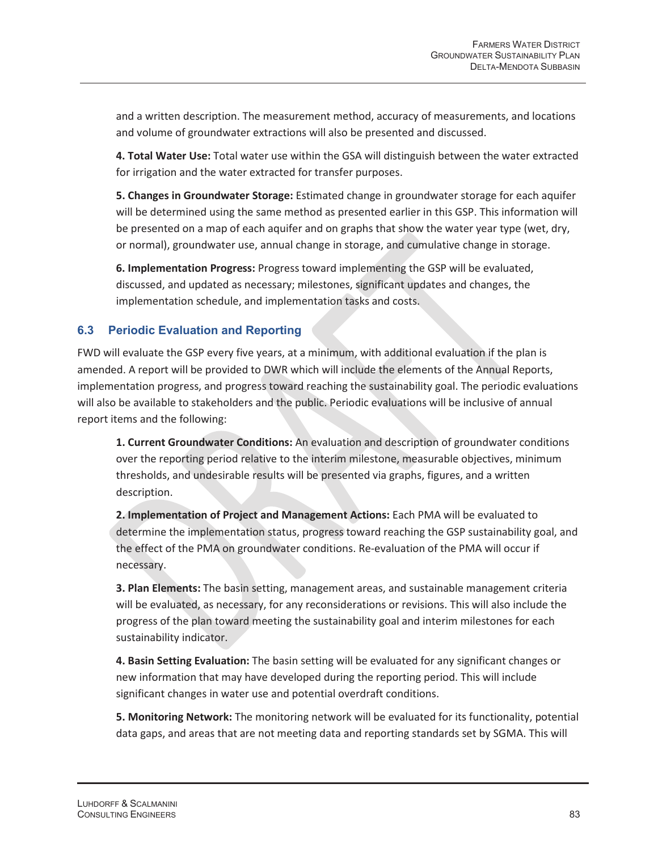and a written description. The measurement method, accuracy of measurements, and locations and volume of groundwater extractions will also be presented and discussed.

**4. Total Water Use:** Total water use within the GSA will distinguish between the water extracted for irrigation and the water extracted for transfer purposes.

**5. Changes in Groundwater Storage:** Estimated change in groundwater storage for each aquifer will be determined using the same method as presented earlier in this GSP. This information will be presented on a map of each aquifer and on graphs that show the water year type (wet, dry, or normal), groundwater use, annual change in storage, and cumulative change in storage.

**6. Implementation Progress:** Progress toward implementing the GSP will be evaluated, discussed, and updated as necessary; milestones, significant updates and changes, the implementation schedule, and implementation tasks and costs.

### **6.3 Periodic Evaluation and Reporting**

FWD will evaluate the GSP every five years, at a minimum, with additional evaluation if the plan is amended. A report will be provided to DWR which will include the elements of the Annual Reports, implementation progress, and progress toward reaching the sustainability goal. The periodic evaluations will also be available to stakeholders and the public. Periodic evaluations will be inclusive of annual report items and the following:

**1. Current Groundwater Conditions:** An evaluation and description of groundwater conditions over the reporting period relative to the interim milestone, measurable objectives, minimum thresholds, and undesirable results will be presented via graphs, figures, and a written description.

**2. Implementation of Project and Management Actions:** Each PMA will be evaluated to determine the implementation status, progress toward reaching the GSP sustainability goal, and the effect of the PMA on groundwater conditions. Re-evaluation of the PMA will occur if necessary.

**3. Plan Elements:** The basin setting, management areas, and sustainable management criteria will be evaluated, as necessary, for any reconsiderations or revisions. This will also include the progress of the plan toward meeting the sustainability goal and interim milestones for each sustainability indicator.

**4. Basin Setting Evaluation:** The basin setting will be evaluated for any significant changes or new information that may have developed during the reporting period. This will include significant changes in water use and potential overdraft conditions.

**5. Monitoring Network:** The monitoring network will be evaluated for its functionality, potential data gaps, and areas that are not meeting data and reporting standards set by SGMA. This will